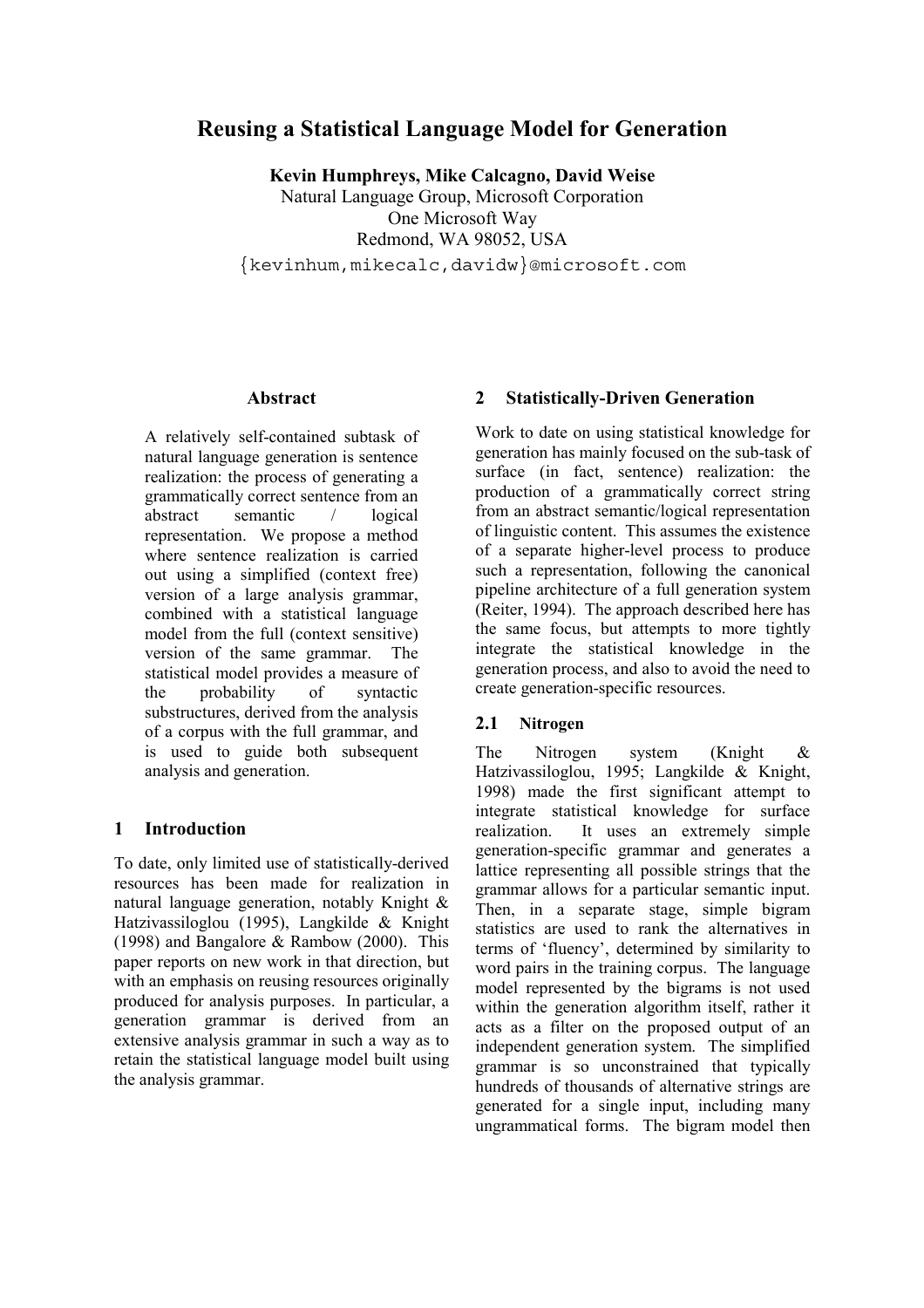# **Reusing a Statistical Language Model for Generation**

**Kevin Humphreys, Mike Calcagno, David Weise** Natural Language Group, Microsoft Corporation One Microsoft Way Redmond, WA 98052, USA

{kevinhum,mikecalc,davidw}@microsoft.com

#### **Abstract**

A relatively self-contained subtask of natural language generation is sentence realization: the process of generating a grammatically correct sentence from an abstract semantic / logical representation. We propose a method where sentence realization is carried out using a simplified (context free) version of a large analysis grammar, combined with a statistical language model from the full (context sensitive) version of the same grammar. The statistical model provides a measure of the probability of syntactic substructures, derived from the analysis of a corpus with the full grammar, and is used to guide both subsequent analysis and generation.

#### **1 Introduction**

To date, only limited use of statistically-derived resources has been made for realization in natural language generation, notably Knight & Hatzivassiloglou (1995), Langkilde & Knight (1998) and Bangalore & Rambow (2000). This paper reports on new work in that direction, but with an emphasis on reusing resources originally produced for analysis purposes. In particular, a generation grammar is derived from an extensive analysis grammar in such a way as to retain the statistical language model built using the analysis grammar.

#### **2 Statistically-Driven Generation**

Work to date on using statistical knowledge for generation has mainly focused on the sub-task of surface (in fact, sentence) realization: the production of a grammatically correct string from an abstract semantic/logical representation of linguistic content. This assumes the existence of a separate higher-level process to produce such a representation, following the canonical pipeline architecture of a full generation system (Reiter, 1994). The approach described here has the same focus, but attempts to more tightly integrate the statistical knowledge in the generation process, and also to avoid the need to create generation-specific resources.

#### **2.1 Nitrogen**

The Nitrogen system (Knight & Hatzivassiloglou, 1995; Langkilde & Knight, 1998) made the first significant attempt to integrate statistical knowledge for surface realization. It uses an extremely simple generation-specific grammar and generates a lattice representing all possible strings that the grammar allows for a particular semantic input. Then, in a separate stage, simple bigram statistics are used to rank the alternatives in terms of 'fluency', determined by similarity to word pairs in the training corpus. The language model represented by the bigrams is not used within the generation algorithm itself, rather it acts as a filter on the proposed output of an independent generation system. The simplified grammar is so unconstrained that typically hundreds of thousands of alternative strings are generated for a single input, including many ungrammatical forms. The bigram model then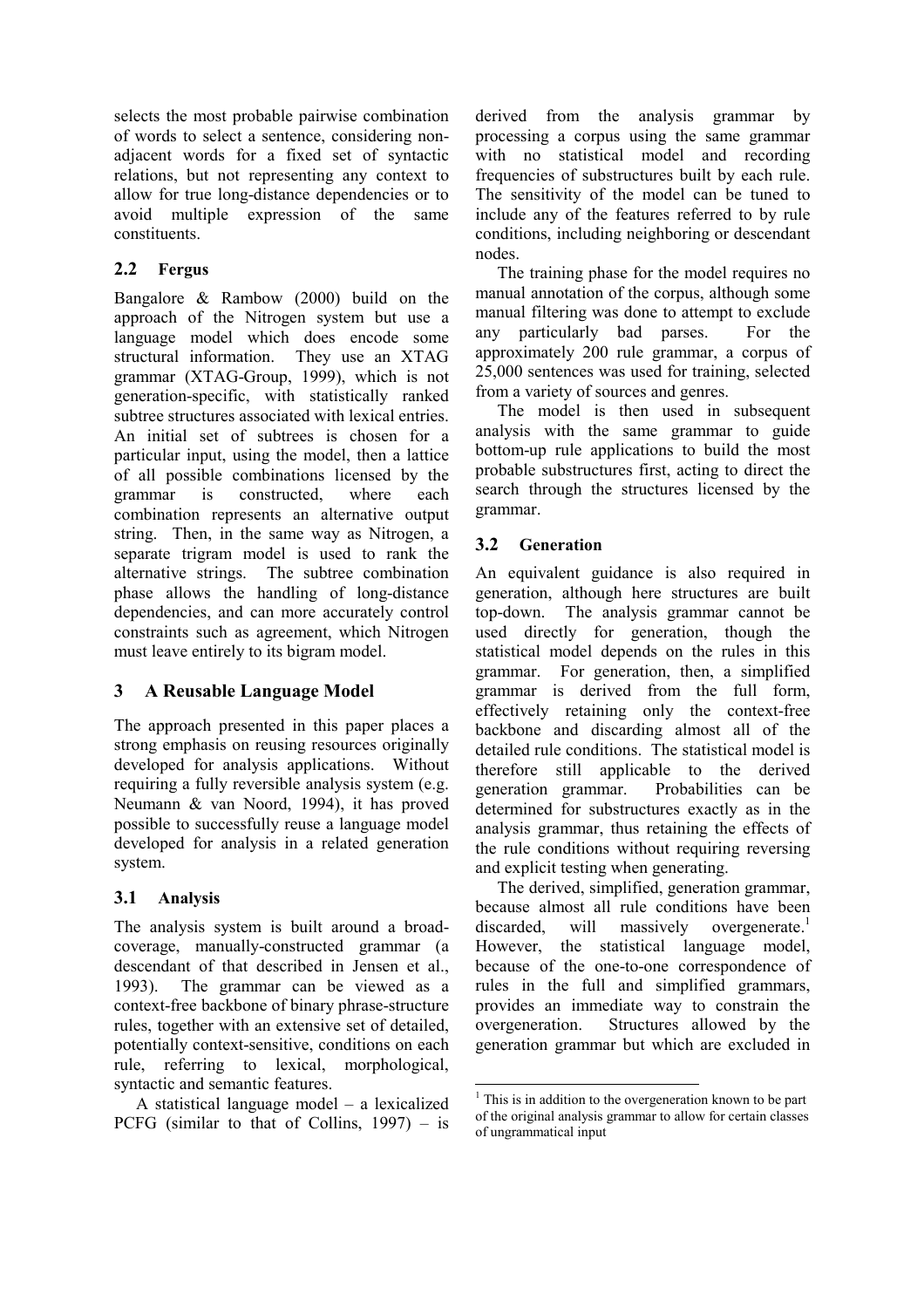selects the most probable pairwise combination of words to select a sentence, considering nonadjacent words for a fixed set of syntactic relations, but not representing any context to allow for true long-distance dependencies or to avoid multiple expression of the same constituents.

# **2.2 Fergus**

Bangalore & Rambow (2000) build on the approach of the Nitrogen system but use a language model which does encode some structural information. They use an XTAG grammar (XTAG-Group, 1999), which is not generation-specific, with statistically ranked subtree structures associated with lexical entries. An initial set of subtrees is chosen for a particular input, using the model, then a lattice of all possible combinations licensed by the grammar is constructed, where each combination represents an alternative output string. Then, in the same way as Nitrogen, a separate trigram model is used to rank the alternative strings. The subtree combination phase allows the handling of long-distance dependencies, and can more accurately control constraints such as agreement, which Nitrogen must leave entirely to its bigram model.

# **3 A Reusable Language Model**

The approach presented in this paper places a strong emphasis on reusing resources originally developed for analysis applications. Without requiring a fully reversible analysis system (e.g. Neumann & van Noord, 1994), it has proved possible to successfully reuse a language model developed for analysis in a related generation system.

# **3.1 Analysis**

The analysis system is built around a broadcoverage, manually-constructed grammar (a descendant of that described in Jensen et al., 1993). The grammar can be viewed as a context-free backbone of binary phrase-structure rules, together with an extensive set of detailed, potentially context-sensitive, conditions on each rule, referring to lexical, morphological, syntactic and semantic features.

A statistical language model – a lexicalized PCFG (similar to that of Collins,  $1997$ ) – is derived from the analysis grammar by processing a corpus using the same grammar with no statistical model and recording frequencies of substructures built by each rule. The sensitivity of the model can be tuned to include any of the features referred to by rule conditions, including neighboring or descendant nodes.

The training phase for the model requires no manual annotation of the corpus, although some manual filtering was done to attempt to exclude any particularly bad parses. For the approximately 200 rule grammar, a corpus of 25,000 sentences was used for training, selected from a variety of sources and genres.

The model is then used in subsequent analysis with the same grammar to guide bottom-up rule applications to build the most probable substructures first, acting to direct the search through the structures licensed by the grammar.

# **3.2 Generation**

An equivalent guidance is also required in generation, although here structures are built top-down. The analysis grammar cannot be used directly for generation, though the statistical model depends on the rules in this grammar. For generation, then, a simplified grammar is derived from the full form, effectively retaining only the context-free backbone and discarding almost all of the detailed rule conditions. The statistical model is therefore still applicable to the derived generation grammar. Probabilities can be determined for substructures exactly as in the analysis grammar, thus retaining the effects of the rule conditions without requiring reversing and explicit testing when generating.

The derived, simplified, generation grammar, because almost all rule conditions have been discarded, will massively overgenerate.<sup>1</sup> However, the statistical language model, because of the one-to-one correspondence of rules in the full and simplified grammars, provides an immediate way to constrain the overgeneration. Structures allowed by the generation grammar but which are excluded in

l

<sup>&</sup>lt;sup>1</sup> This is in addition to the overgeneration known to be part of the original analysis grammar to allow for certain classes of ungrammatical input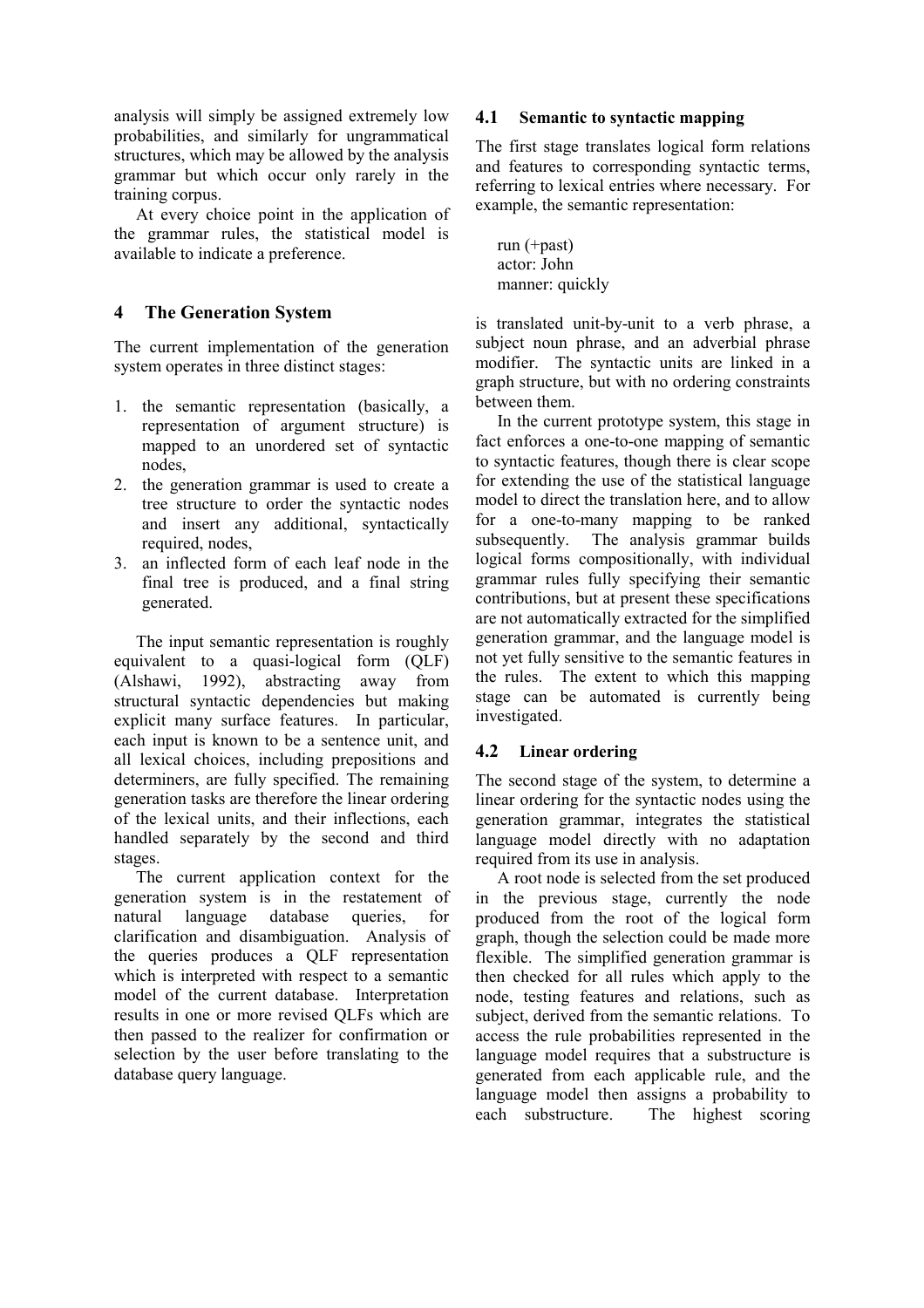analysis will simply be assigned extremely low probabilities, and similarly for ungrammatical structures, which may be allowed by the analysis grammar but which occur only rarely in the training corpus.

At every choice point in the application of the grammar rules, the statistical model is available to indicate a preference.

### **4 The Generation System**

The current implementation of the generation system operates in three distinct stages:

- 1. the semantic representation (basically, a representation of argument structure) is mapped to an unordered set of syntactic nodes,
- 2. the generation grammar is used to create a tree structure to order the syntactic nodes and insert any additional, syntactically required, nodes,
- 3. an inflected form of each leaf node in the final tree is produced, and a final string generated.

The input semantic representation is roughly equivalent to a quasi-logical form (QLF) (Alshawi, 1992), abstracting away from structural syntactic dependencies but making explicit many surface features. In particular, each input is known to be a sentence unit, and all lexical choices, including prepositions and determiners, are fully specified. The remaining generation tasks are therefore the linear ordering of the lexical units, and their inflections, each handled separately by the second and third stages.

The current application context for the generation system is in the restatement of natural language database queries, for clarification and disambiguation. Analysis of the queries produces a QLF representation which is interpreted with respect to a semantic model of the current database. Interpretation results in one or more revised QLFs which are then passed to the realizer for confirmation or selection by the user before translating to the database query language.

#### **4.1 Semantic to syntactic mapping**

The first stage translates logical form relations and features to corresponding syntactic terms, referring to lexical entries where necessary. For example, the semantic representation:

run (+past) actor: John manner: quickly

is translated unit-by-unit to a verb phrase, a subject noun phrase, and an adverbial phrase modifier. The syntactic units are linked in a graph structure, but with no ordering constraints between them.

In the current prototype system, this stage in fact enforces a one-to-one mapping of semantic to syntactic features, though there is clear scope for extending the use of the statistical language model to direct the translation here, and to allow for a one-to-many mapping to be ranked subsequently. The analysis grammar builds logical forms compositionally, with individual grammar rules fully specifying their semantic contributions, but at present these specifications are not automatically extracted for the simplified generation grammar, and the language model is not yet fully sensitive to the semantic features in the rules. The extent to which this mapping stage can be automated is currently being investigated.

#### **4.2 Linear ordering**

The second stage of the system, to determine a linear ordering for the syntactic nodes using the generation grammar, integrates the statistical language model directly with no adaptation required from its use in analysis.

A root node is selected from the set produced in the previous stage, currently the node produced from the root of the logical form graph, though the selection could be made more flexible. The simplified generation grammar is then checked for all rules which apply to the node, testing features and relations, such as subject, derived from the semantic relations. To access the rule probabilities represented in the language model requires that a substructure is generated from each applicable rule, and the language model then assigns a probability to each substructure. The highest scoring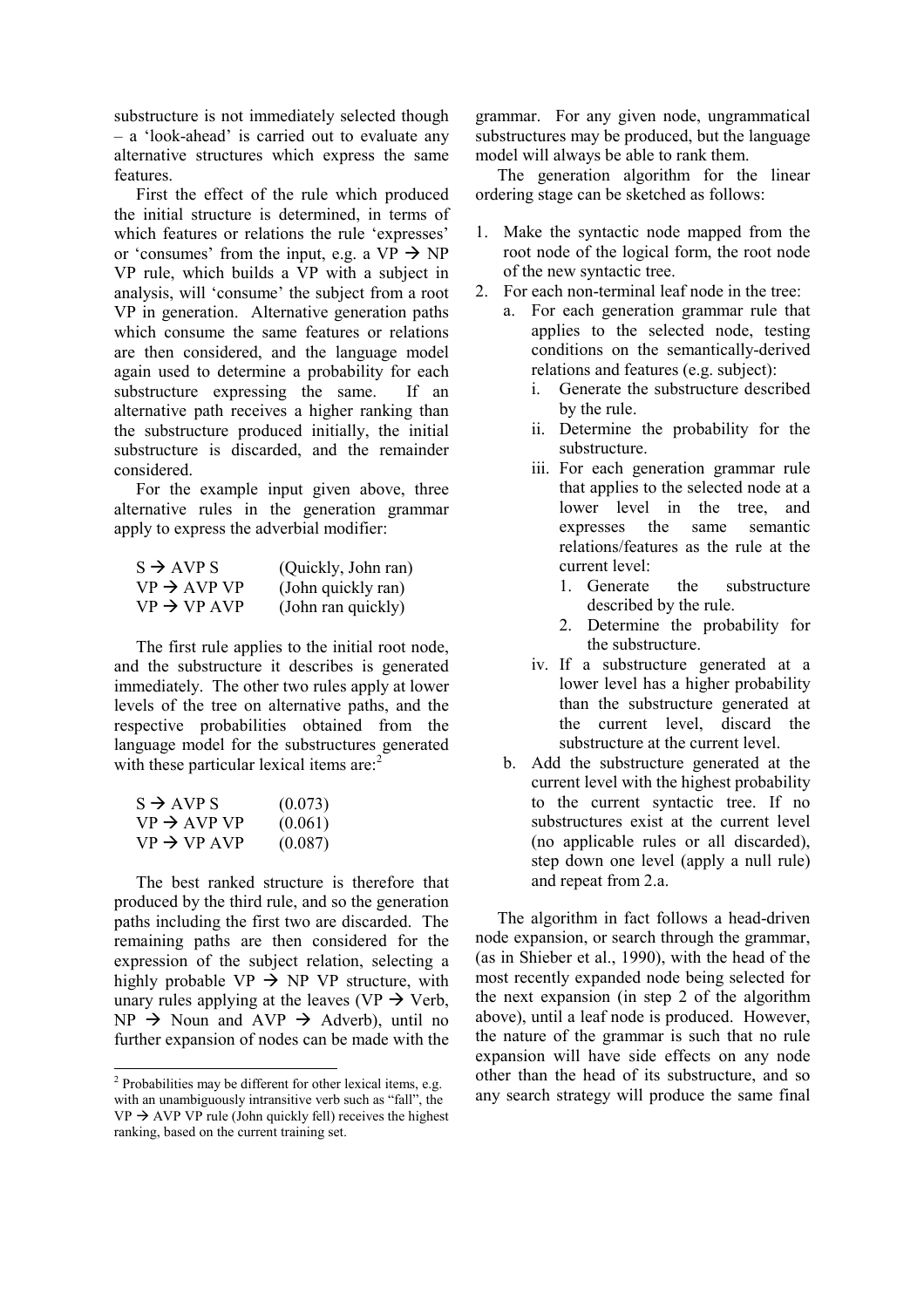substructure is not immediately selected though – a 'look-ahead' is carried out to evaluate any alternative structures which express the same features.

First the effect of the rule which produced the initial structure is determined, in terms of which features or relations the rule 'expresses' or 'consumes' from the input, e.g. a  $VP \rightarrow NP$ VP rule, which builds a VP with a subject in analysis, will 'consume' the subject from a root VP in generation. Alternative generation paths which consume the same features or relations are then considered, and the language model again used to determine a probability for each substructure expressing the same. If an alternative path receives a higher ranking than the substructure produced initially, the initial substructure is discarded, and the remainder considered.

For the example input given above, three alternative rules in the generation grammar apply to express the adverbial modifier:

| $S \rightarrow AVP S$   | (Quickly, John ran) |
|-------------------------|---------------------|
| $VP \rightarrow AVP VP$ | (John quickly ran)  |
| $VP \rightarrow VP AVP$ | (John ran quickly)  |

The first rule applies to the initial root node, and the substructure it describes is generated immediately. The other two rules apply at lower levels of the tree on alternative paths, and the respective probabilities obtained from the language model for the substructures generated with these particular lexical items  $are^2$ 

| $S \rightarrow AVP S$   | (0.073) |
|-------------------------|---------|
| $VP \rightarrow AVP VP$ | (0.061) |
| $VP \rightarrow VP AVP$ | (0.087) |

1

The best ranked structure is therefore that produced by the third rule, and so the generation paths including the first two are discarded. The remaining paths are then considered for the expression of the subject relation, selecting a highly probable  $VP \rightarrow NP VP$  structure, with unary rules applying at the leaves (VP  $\rightarrow$  Verb,  $NP \rightarrow Noun$  and  $AVP \rightarrow Adverb$ , until no further expansion of nodes can be made with the

grammar. For any given node, ungrammatical substructures may be produced, but the language model will always be able to rank them.

The generation algorithm for the linear ordering stage can be sketched as follows:

- 1. Make the syntactic node mapped from the root node of the logical form, the root node of the new syntactic tree.
- 2. For each non-terminal leaf node in the tree:
	- a. For each generation grammar rule that applies to the selected node, testing conditions on the semantically-derived relations and features (e.g. subject):
		- i. Generate the substructure described by the rule.
		- ii. Determine the probability for the substructure.
		- iii. For each generation grammar rule that applies to the selected node at a lower level in the tree, and expresses the same semantic relations/features as the rule at the current level:
			- 1. Generate the substructure described by the rule.
			- 2. Determine the probability for the substructure.
		- iv. If a substructure generated at a lower level has a higher probability than the substructure generated at the current level, discard the substructure at the current level.
	- b. Add the substructure generated at the current level with the highest probability to the current syntactic tree. If no substructures exist at the current level (no applicable rules or all discarded), step down one level (apply a null rule) and repeat from 2.a.

The algorithm in fact follows a head-driven node expansion, or search through the grammar, (as in Shieber et al., 1990), with the head of the most recently expanded node being selected for the next expansion (in step 2 of the algorithm above), until a leaf node is produced. However, the nature of the grammar is such that no rule expansion will have side effects on any node other than the head of its substructure, and so any search strategy will produce the same final

 $2$  Probabilities may be different for other lexical items, e.g. with an unambiguously intransitive verb such as "fall", the  $VP \rightarrow AVP VP$  rule (John quickly fell) receives the highest ranking, based on the current training set.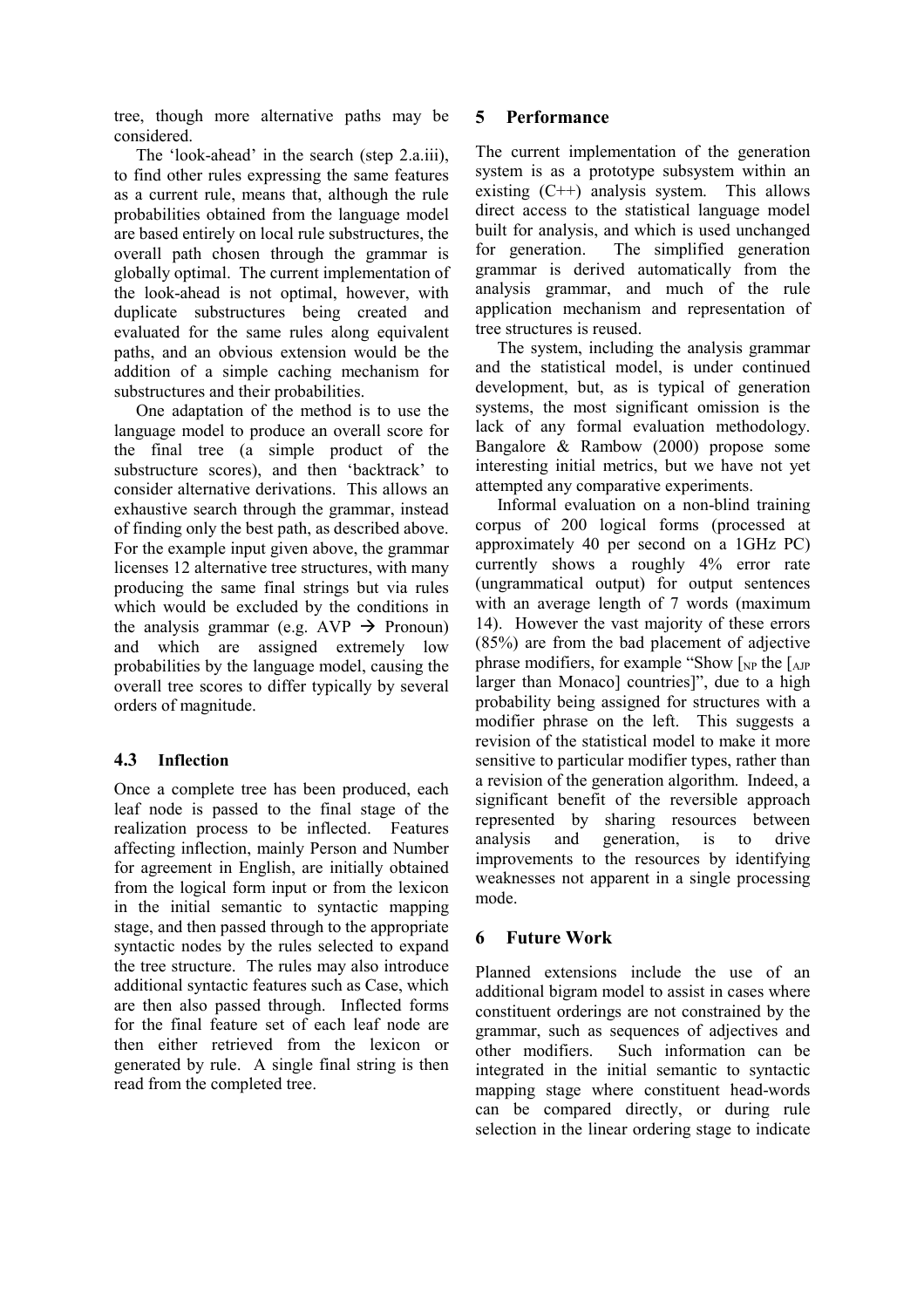tree, though more alternative paths may be considered.

The 'look-ahead' in the search (step 2.a.iii), to find other rules expressing the same features as a current rule, means that, although the rule probabilities obtained from the language model are based entirely on local rule substructures, the overall path chosen through the grammar is globally optimal. The current implementation of the look-ahead is not optimal, however, with duplicate substructures being created and evaluated for the same rules along equivalent paths, and an obvious extension would be the addition of a simple caching mechanism for substructures and their probabilities.

One adaptation of the method is to use the language model to produce an overall score for the final tree (a simple product of the substructure scores), and then 'backtrack' to consider alternative derivations. This allows an exhaustive search through the grammar, instead of finding only the best path, as described above. For the example input given above, the grammar licenses 12 alternative tree structures, with many producing the same final strings but via rules which would be excluded by the conditions in the analysis grammar (e.g. AVP  $\rightarrow$  Pronoun) and which are assigned extremely low probabilities by the language model, causing the overall tree scores to differ typically by several orders of magnitude.

#### **4.3 Inflection**

Once a complete tree has been produced, each leaf node is passed to the final stage of the realization process to be inflected. Features affecting inflection, mainly Person and Number for agreement in English, are initially obtained from the logical form input or from the lexicon in the initial semantic to syntactic mapping stage, and then passed through to the appropriate syntactic nodes by the rules selected to expand the tree structure. The rules may also introduce additional syntactic features such as Case, which are then also passed through. Inflected forms for the final feature set of each leaf node are then either retrieved from the lexicon or generated by rule. A single final string is then read from the completed tree.

### **5 Performance**

The current implementation of the generation system is as a prototype subsystem within an existing  $(C^{++})$  analysis system. This allows direct access to the statistical language model built for analysis, and which is used unchanged for generation. The simplified generation grammar is derived automatically from the analysis grammar, and much of the rule application mechanism and representation of tree structures is reused.

The system, including the analysis grammar and the statistical model, is under continued development, but, as is typical of generation systems, the most significant omission is the lack of any formal evaluation methodology. Bangalore & Rambow (2000) propose some interesting initial metrics, but we have not yet attempted any comparative experiments.

Informal evaluation on a non-blind training corpus of 200 logical forms (processed at approximately 40 per second on a 1GHz PC) currently shows a roughly 4% error rate (ungrammatical output) for output sentences with an average length of 7 words (maximum 14). However the vast majority of these errors (85%) are from the bad placement of adjective phrase modifiers, for example "Show  $\left[$ <sub>NP</sub> the  $\left[$ <sub>AJP</sub> larger than Monaco] countries]", due to a high probability being assigned for structures with a modifier phrase on the left. This suggests a revision of the statistical model to make it more sensitive to particular modifier types, rather than a revision of the generation algorithm. Indeed, a significant benefit of the reversible approach represented by sharing resources between analysis and generation, is to drive improvements to the resources by identifying weaknesses not apparent in a single processing mode.

# **6 Future Work**

Planned extensions include the use of an additional bigram model to assist in cases where constituent orderings are not constrained by the grammar, such as sequences of adjectives and other modifiers. Such information can be integrated in the initial semantic to syntactic mapping stage where constituent head-words can be compared directly, or during rule selection in the linear ordering stage to indicate